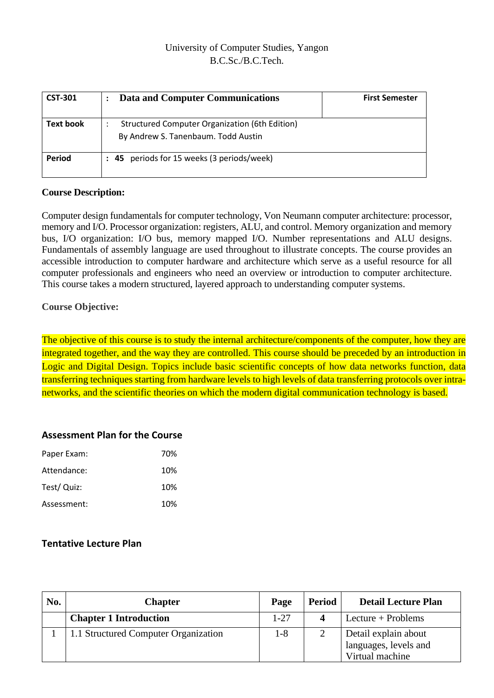# University of Computer Studies, Yangon B.C.Sc./B.C.Tech.

| <b>CST-301</b>   | Data and Computer Communications                                                      | <b>First Semester</b> |
|------------------|---------------------------------------------------------------------------------------|-----------------------|
| <b>Text book</b> | Structured Computer Organization (6th Edition)<br>By Andrew S. Tanenbaum. Todd Austin |                       |
| Period           | : 45 periods for 15 weeks (3 periods/week)                                            |                       |

#### **Course Description:**

Computer design fundamentals for computer technology, Von Neumann computer architecture: processor, memory and I/O. Processor organization: registers, ALU, and control. Memory organization and memory bus, I/O organization: I/O bus, memory mapped I/O. Number representations and ALU designs. Fundamentals of assembly language are used throughout to illustrate concepts. The course provides an accessible introduction to computer hardware and architecture which serve as a useful resource for all computer professionals and engineers who need an overview or introduction to computer architecture. This course takes a modern structured, layered approach to understanding computer systems.

### **Course Objective:**

The objective of this course is to study the internal architecture/components of the computer, how they are integrated together, and the way they are controlled. This course should be preceded by an introduction in Logic and Digital Design. Topics include basic scientific concepts of how data networks function, data transferring techniques starting from hardware levels to high levels of data transferring protocols over intranetworks, and the scientific theories on which the modern digital communication technology is based.

### **Assessment Plan for the Course**

| Paper Exam: | 70% |
|-------------|-----|
| Attendance: | 10% |
| Test/ Quiz: | 10% |
| Assessment: | 10% |

# **Tentative Lecture Plan**

| No. | <b>Chapter</b>                       | Page     | <b>Period</b> | <b>Detail Lecture Plan</b>                                       |
|-----|--------------------------------------|----------|---------------|------------------------------------------------------------------|
|     | <b>Chapter 1 Introduction</b>        | $1 - 27$ |               | $L$ ecture + Problems                                            |
|     | 1.1 Structured Computer Organization | 1-8      |               | Detail explain about<br>languages, levels and<br>Virtual machine |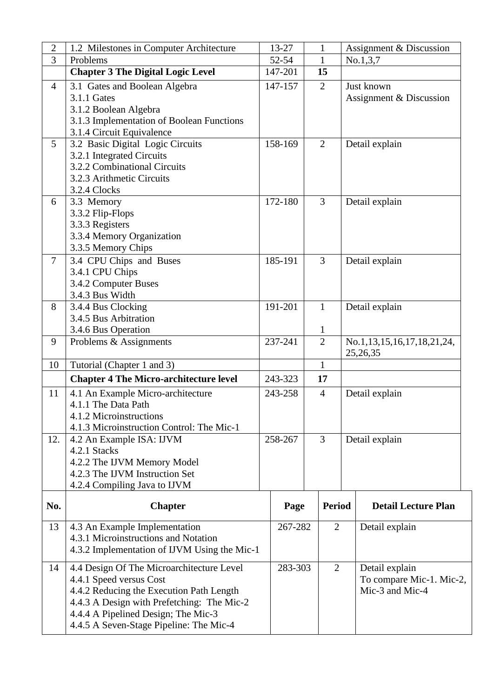| $\overline{2}$ | 1.2 Milestones in Computer Architecture                              | 13-27   |                | $\mathbf{1}$                   |                | Assignment & Discussion                |  |
|----------------|----------------------------------------------------------------------|---------|----------------|--------------------------------|----------------|----------------------------------------|--|
| $\overline{3}$ | Problems                                                             | 52-54   |                | $\mathbf{1}$                   |                | No.1,3,7                               |  |
|                | <b>Chapter 3 The Digital Logic Level</b>                             | 147-201 |                | 15                             |                |                                        |  |
| $\overline{4}$ | 3.1 Gates and Boolean Algebra                                        | 147-157 |                | $\overline{2}$                 |                | Just known                             |  |
|                | 3.1.1 Gates                                                          |         |                |                                |                | Assignment & Discussion                |  |
|                | 3.1.2 Boolean Algebra                                                |         |                |                                |                |                                        |  |
|                | 3.1.3 Implementation of Boolean Functions                            |         |                |                                |                |                                        |  |
|                | 3.1.4 Circuit Equivalence                                            |         |                |                                |                |                                        |  |
| 5              | 3.2 Basic Digital Logic Circuits                                     | 158-169 |                | $\overline{2}$                 |                | Detail explain                         |  |
|                | 3.2.1 Integrated Circuits                                            |         |                |                                |                |                                        |  |
|                | 3.2.2 Combinational Circuits                                         |         |                |                                |                |                                        |  |
|                | 3.2.3 Arithmetic Circuits                                            |         |                |                                |                |                                        |  |
|                | 3.2.4 Clocks                                                         |         |                |                                |                |                                        |  |
| 6              | 3.3 Memory                                                           | 172-180 |                | 3                              |                | Detail explain                         |  |
|                | 3.3.2 Flip-Flops                                                     |         |                |                                |                |                                        |  |
|                | 3.3.3 Registers                                                      |         |                |                                |                |                                        |  |
|                | 3.3.4 Memory Organization                                            |         |                |                                |                |                                        |  |
|                | 3.3.5 Memory Chips                                                   |         |                |                                |                |                                        |  |
| $\overline{7}$ | 3.4 CPU Chips and Buses                                              | 185-191 |                | 3                              |                | Detail explain                         |  |
|                | 3.4.1 CPU Chips                                                      |         |                |                                |                |                                        |  |
|                | 3.4.2 Computer Buses                                                 |         |                |                                |                |                                        |  |
|                | 3.4.3 Bus Width                                                      |         |                |                                |                |                                        |  |
| 8              | 3.4.4 Bus Clocking                                                   | 191-201 |                | $\mathbf{1}$                   |                | Detail explain                         |  |
|                | 3.4.5 Bus Arbitration                                                |         |                |                                |                |                                        |  |
|                | 3.4.6 Bus Operation                                                  | 237-241 |                | $\mathbf{1}$<br>$\overline{2}$ |                |                                        |  |
| 9              | Problems & Assignments                                               |         |                |                                |                | No.1,13,15,16,17,18,21,24,<br>25,26,35 |  |
| 10             | Tutorial (Chapter 1 and 3)                                           |         |                | $\mathbf{1}$                   |                |                                        |  |
|                |                                                                      | 243-323 |                | 17                             |                |                                        |  |
|                | <b>Chapter 4 The Micro-architecture level</b>                        |         |                |                                |                |                                        |  |
| 11             | 4.1 An Example Micro-architecture                                    | 243-258 |                | $\overline{4}$                 |                | Detail explain                         |  |
|                | 4.1.1 The Data Path                                                  |         |                |                                |                |                                        |  |
|                | 4.1.2 Microinstructions<br>4.1.3 Microinstruction Control: The Mic-1 |         |                |                                |                |                                        |  |
| 12.            |                                                                      | 258-267 |                | $\overline{3}$                 |                |                                        |  |
|                | 4.2 An Example ISA: IJVM<br>4.2.1 Stacks                             |         |                |                                |                | Detail explain                         |  |
|                | 4.2.2 The IJVM Memory Model                                          |         |                |                                |                |                                        |  |
|                | 4.2.3 The IJVM Instruction Set                                       |         |                |                                |                |                                        |  |
|                | 4.2.4 Compiling Java to IJVM                                         |         |                |                                |                |                                        |  |
|                |                                                                      |         |                |                                |                |                                        |  |
| No.            | <b>Chapter</b>                                                       | Page    |                | <b>Period</b>                  |                | <b>Detail Lecture Plan</b>             |  |
| 13             | 4.3 An Example Implementation                                        |         | 267-282        |                                | $\overline{2}$ | Detail explain                         |  |
|                | 4.3.1 Microinstructions and Notation                                 |         |                |                                |                |                                        |  |
|                | 4.3.2 Implementation of IJVM Using the Mic-1                         |         |                |                                |                |                                        |  |
| 14             | 4.4 Design Of The Microarchitecture Level                            |         | 283-303        |                                |                | Detail explain                         |  |
|                | 4.4.1 Speed versus Cost                                              |         | $\overline{2}$ |                                |                | To compare Mic-1. Mic-2,               |  |
|                | 4.4.2 Reducing the Execution Path Length                             |         |                |                                |                | Mic-3 and Mic-4                        |  |
|                | 4.4.3 A Design with Prefetching: The Mic-2                           |         |                |                                |                |                                        |  |
|                | 4.4.4 A Pipelined Design; The Mic-3                                  |         |                |                                |                |                                        |  |
|                | 4.4.5 A Seven-Stage Pipeline: The Mic-4                              |         |                |                                |                |                                        |  |
|                |                                                                      |         |                |                                |                |                                        |  |